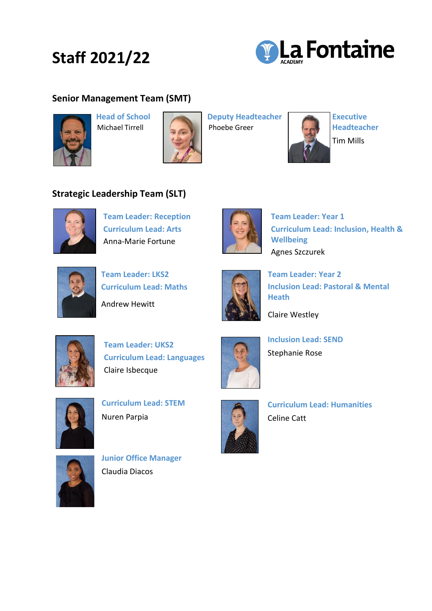## **Staff 2021/22**



## **Senior Management Team (SMT)**





 **Head of School Deputy Headteacher Executive** 

**Michael Tirrell Phoebe Greer** Headteacher



## **Strategic Leadership Team (SLT)**



**Team Leader: Reception Curriculum Lead: Arts** Anna-Marie Fortune



**Team Leader: Year 1 Curriculum Lead: Inclusion, Health & Wellbeing** Agnes Szczurek



 **Team Leader: LKS2 Curriculum Lead: Maths** Andrew Hewitt



**Team Leader: Year 2 Inclusion Lead: Pastoral & Mental Heath** 

Claire Westley



**Team Leader: UKS2 Curriculum Lead: Languages** Claire Isbecque



**Curriculum Lead: STEM** Nuren Parpia



**Inclusion Lead: SEND** Stephanie Rose



**Curriculum Lead: Humanities** Celine Catt



**Junior Office Manager** Claudia Diacos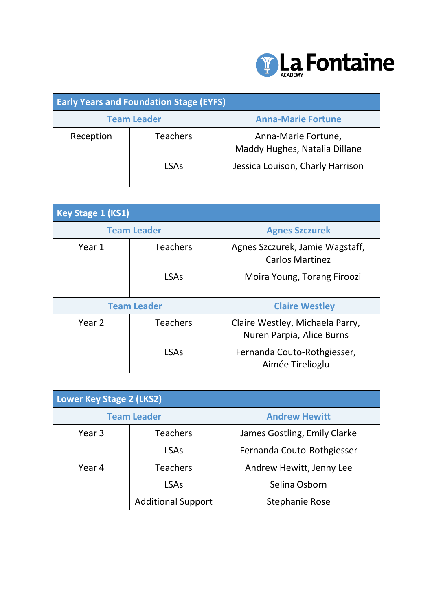

| <b>Early Years and Foundation Stage (EYFS)</b> |                    |                                                      |
|------------------------------------------------|--------------------|------------------------------------------------------|
|                                                | <b>Team Leader</b> | <b>Anna-Marie Fortune</b>                            |
| Reception                                      | <b>Teachers</b>    | Anna-Marie Fortune,<br>Maddy Hughes, Natalia Dillane |
|                                                | <b>LSAs</b>        | Jessica Louison, Charly Harrison                     |

| Key Stage 1 (KS1)  |                    |                                                              |
|--------------------|--------------------|--------------------------------------------------------------|
|                    | <b>Team Leader</b> | <b>Agnes Szczurek</b>                                        |
| Year 1             | <b>Teachers</b>    | Agnes Szczurek, Jamie Wagstaff,<br><b>Carlos Martinez</b>    |
|                    | <b>LSAs</b>        | Moira Young, Torang Firoozi                                  |
| <b>Team Leader</b> |                    | <b>Claire Westley</b>                                        |
| Year <sub>2</sub>  | <b>Teachers</b>    | Claire Westley, Michaela Parry,<br>Nuren Parpia, Alice Burns |
|                    | <b>LSAs</b>        | Fernanda Couto-Rothgiesser,<br>Aimée Tirelioglu              |

| <b>Lower Key Stage 2 (LKS2)</b> |                           |                              |
|---------------------------------|---------------------------|------------------------------|
|                                 | <b>Team Leader</b>        | <b>Andrew Hewitt</b>         |
| Year 3                          | <b>Teachers</b>           | James Gostling, Emily Clarke |
|                                 | <b>LSAs</b>               | Fernanda Couto-Rothgiesser   |
| Year 4                          | <b>Teachers</b>           | Andrew Hewitt, Jenny Lee     |
|                                 | <b>LSAs</b>               | Selina Osborn                |
|                                 | <b>Additional Support</b> | <b>Stephanie Rose</b>        |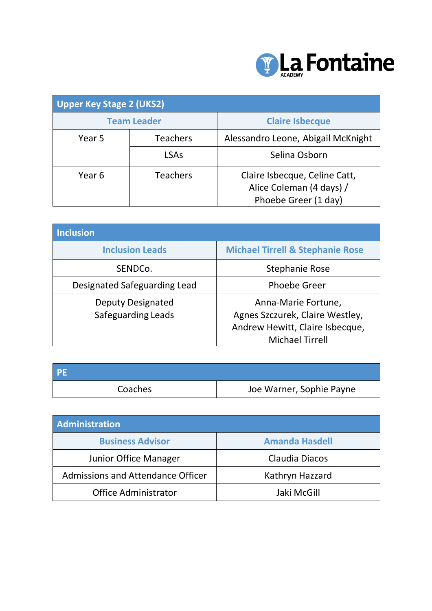

| <b>Upper Key Stage 2 (UKS2)</b> |                    |                                                                                   |
|---------------------------------|--------------------|-----------------------------------------------------------------------------------|
|                                 | <b>Team Leader</b> | <b>Claire Isbecque</b>                                                            |
| Year 5                          | <b>Teachers</b>    | Alessandro Leone, Abigail McKnight                                                |
|                                 | <b>LSAs</b>        | Selina Osborn                                                                     |
| Year 6                          | <b>Teachers</b>    | Claire Isbecque, Celine Catt,<br>Alice Coleman (4 days) /<br>Phoebe Greer (1 day) |

| Inclusion                                             |                                                                                                                     |
|-------------------------------------------------------|---------------------------------------------------------------------------------------------------------------------|
| <b>Inclusion Leads</b>                                | <b>Michael Tirrell &amp; Stephanie Rose</b>                                                                         |
| SENDCo.                                               | <b>Stephanie Rose</b>                                                                                               |
| Designated Safeguarding Lead                          | <b>Phoebe Greer</b>                                                                                                 |
| <b>Deputy Designated</b><br><b>Safeguarding Leads</b> | Anna-Marie Fortune,<br>Agnes Szczurek, Claire Westley,<br>Andrew Hewitt, Claire Isbecque,<br><b>Michael Tirrell</b> |

| <b>PE</b> |                          |
|-----------|--------------------------|
| Coaches   | Joe Warner, Sophie Payne |

| Administration                           |                       |  |
|------------------------------------------|-----------------------|--|
| <b>Business Advisor</b>                  | <b>Amanda Hasdell</b> |  |
| Junior Office Manager                    | Claudia Diacos        |  |
| <b>Admissions and Attendance Officer</b> | Kathryn Hazzard       |  |
| <b>Office Administrator</b>              | Jaki McGill           |  |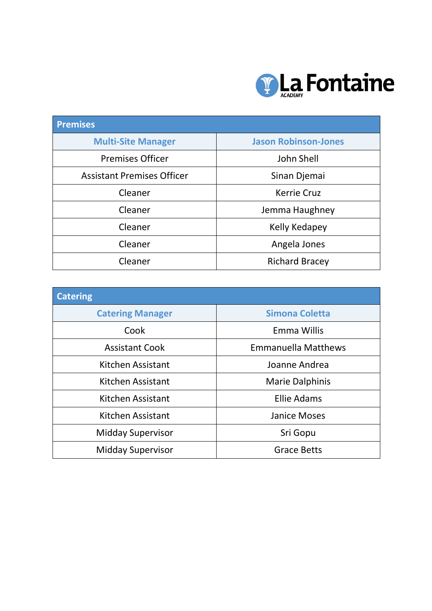

| <b>Premises</b>                   |                             |
|-----------------------------------|-----------------------------|
| <b>Multi-Site Manager</b>         | <b>Jason Robinson-Jones</b> |
| <b>Premises Officer</b>           | John Shell                  |
| <b>Assistant Premises Officer</b> | Sinan Djemai                |
| Cleaner                           | <b>Kerrie Cruz</b>          |
| Cleaner                           | Jemma Haughney              |
| Cleaner                           | Kelly Kedapey               |
| Cleaner                           | Angela Jones                |
| Cleaner                           | <b>Richard Bracey</b>       |

| <b>Catering</b>          |                            |
|--------------------------|----------------------------|
| <b>Catering Manager</b>  | <b>Simona Coletta</b>      |
| Cook                     | Emma Willis                |
| <b>Assistant Cook</b>    | <b>Emmanuella Matthews</b> |
| Kitchen Assistant        | Joanne Andrea              |
| Kitchen Assistant        | <b>Marie Dalphinis</b>     |
| Kitchen Assistant        | <b>Ellie Adams</b>         |
| Kitchen Assistant        | <b>Janice Moses</b>        |
| <b>Midday Supervisor</b> | Sri Gopu                   |
| <b>Midday Supervisor</b> | <b>Grace Betts</b>         |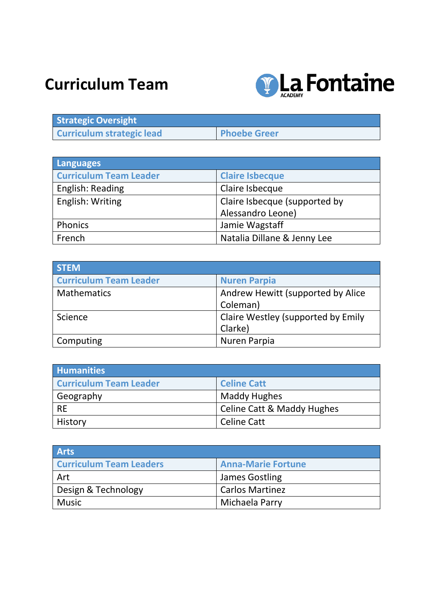## **Curriculum Team**



| <b>Strategic Oversight</b>       |                     |
|----------------------------------|---------------------|
| <b>Curriculum strategic lead</b> | <b>Phoebe Greer</b> |

| <b>Languages</b>              |                               |
|-------------------------------|-------------------------------|
| <b>Curriculum Team Leader</b> | <b>Claire Isbecque</b>        |
| English: Reading              | Claire Isbecque               |
| English: Writing              | Claire Isbecque (supported by |
|                               | Alessandro Leone)             |
| Phonics                       | Jamie Wagstaff                |
| French                        | Natalia Dillane & Jenny Lee   |

| <b>STEM</b>                   |                                    |
|-------------------------------|------------------------------------|
| <b>Curriculum Team Leader</b> | <b>Nuren Parpia</b>                |
| <b>Mathematics</b>            | Andrew Hewitt (supported by Alice  |
|                               | Coleman)                           |
| Science                       | Claire Westley (supported by Emily |
|                               | Clarke)                            |
| Computing                     | Nuren Parpia                       |

| <b>Humanities</b>             |                                       |
|-------------------------------|---------------------------------------|
| <b>Curriculum Team Leader</b> | <b>Celine Catt</b>                    |
| Geography                     | Maddy Hughes                          |
| <b>RE</b>                     | <b>Celine Catt &amp; Maddy Hughes</b> |
| History                       | Celine Catt                           |

| <b>Arts</b>                    |                           |
|--------------------------------|---------------------------|
| <b>Curriculum Team Leaders</b> | <b>Anna-Marie Fortune</b> |
| Art                            | James Gostling            |
| Design & Technology            | <b>Carlos Martinez</b>    |
| <b>Music</b>                   | Michaela Parry            |